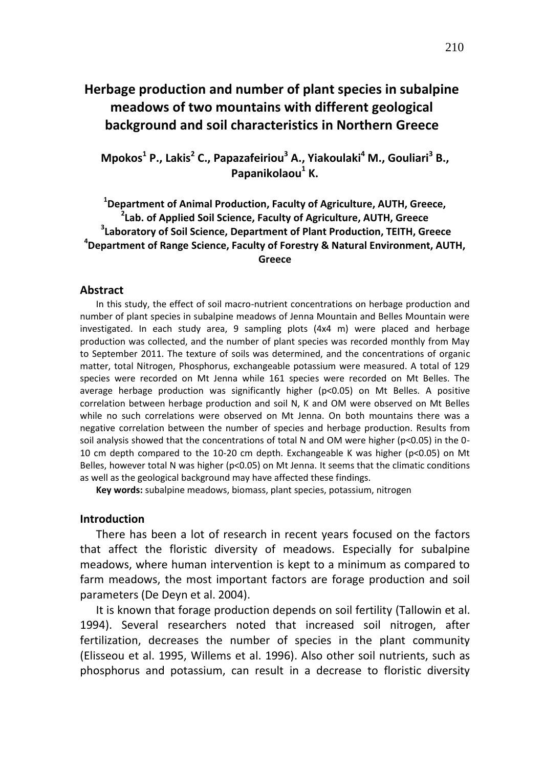# **Herbage production and number of plant species in subalpine meadows of two mountains with different geological background and soil characteristics in Northern Greece**

**Mpokos<sup>1</sup> P., Lakis<sup>2</sup> C., Papazafeiriou<sup>3</sup> A., Yiakoulaki<sup>4</sup> M., Gouliari<sup>3</sup> B., Papanikolaou<sup>1</sup> K.**

# **1 Department of Animal Production, Faculty of Agriculture, AUTH, Greece, 2 Lab. of Applied Soil Science, Faculty of Agriculture, AUTH, Greece 3 Laboratory of Soil Science, Department of Plant Production, TEITH, Greece 4 Department of Range Science, Faculty of Forestry & Natural Environment, AUTH, Greece**

#### **Abstract**

In this study, the effect of soil macro-nutrient concentrations on herbage production and number of plant species in subalpine meadows of Jenna Mountain and Belles Mountain were investigated. In each study area, 9 sampling plots (4x4 m) were placed and herbage production was collected, and the number of plant species was recorded monthly from May to September 2011. The texture of soils was determined, and the concentrations of organic matter, total Nitrogen, Phosphorus, exchangeable potassium were measured. A total of 129 species were recorded on Mt Jenna while 161 species were recorded on Mt Belles. The average herbage production was significantly higher (p<0.05) on Mt Belles. A positive correlation between herbage production and soil N, K and OM were observed on Mt Belles while no such correlations were observed on Mt Jenna. On both mountains there was a negative correlation between the number of species and herbage production. Results from soil analysis showed that the concentrations of total N and OM were higher (p<0.05) in the 0- 10 cm depth compared to the 10-20 cm depth. Exchangeable K was higher (p<0.05) on Mt Belles, however total N was higher (p<0.05) on Mt Jenna. It seems that the climatic conditions as well as the geological background may have affected these findings.

**Key words:** subalpine meadows, biomass, plant species, potassium, nitrogen

## **Introduction**

There has been a lot of research in recent years focused on the factors that affect the floristic diversity of meadows. Especially for subalpine meadows, where human intervention is kept to a minimum as compared to farm meadows, the most important factors are forage production and soil parameters (De Deyn et al. 2004).

It is known that forage production depends on soil fertility (Tallowin et al. 1994). Several researchers noted that increased soil nitrogen, after fertilization, decreases the number of species in the plant community (Elisseou et al. 1995, Willems et al. 1996). Also other soil nutrients, such as phosphorus and potassium, can result in a decrease to floristic diversity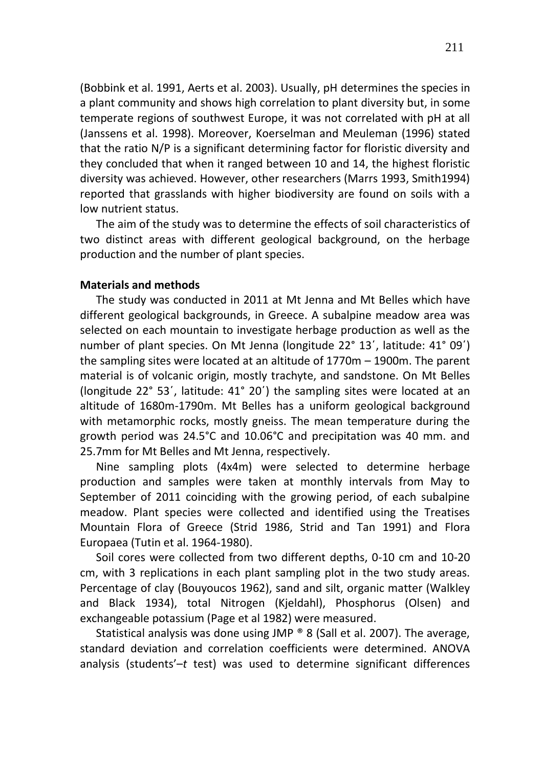(Bobbink et al. 1991, Aerts et al. 2003). Usually, pH determines the species in a plant community and shows high correlation to plant diversity but, in some temperate regions of southwest Europe, it was not correlated with pH at all (Janssens et al. 1998). Moreover, Koerselman and Meuleman (1996) stated that the ratio N/P is a significant determining factor for floristic diversity and they concluded that when it ranged between 10 and 14, the highest floristic diversity was achieved. However, other researchers (Marrs 1993, Smith1994) reported that grasslands with higher biodiversity are found on soils with a low nutrient status.

The aim of the study was to determine the effects of soil characteristics of two distinct areas with different geological background, on the herbage production and the number of plant species.

## **Materials and methods**

The study was conducted in 2011 at Mt Jenna and Mt Belles which have different geological backgrounds, in Greece. A subalpine meadow area was selected on each mountain to investigate herbage production as well as the number of plant species. On Mt Jenna (longitude 22° 13΄, latitude: 41° 09΄) the sampling sites were located at an altitude of 1770m – 1900m. The parent material is of volcanic origin, mostly trachyte, and sandstone. On Mt Belles (longitude 22° 53΄, latitude: 41° 20΄) the sampling sites were located at an altitude of 1680m-1790m. Mt Belles has a uniform geological background with metamorphic rocks, mostly gneiss. The mean temperature during the growth period was 24.5°C and 10.06°C and precipitation was 40 mm. and 25.7mm for Mt Belles and Mt Jenna, respectively.

Nine sampling plots (4x4m) were selected to determine herbage production and samples were taken at monthly intervals from May to September of 2011 coinciding with the growing period, of each subalpine meadow. Plant species were collected and identified using the Treatises Mountain Flora of Greece (Strid 1986, Strid and Tan 1991) and Flora Europaea (Tutin et al. 1964-1980).

Soil cores were collected from two different depths, 0-10 cm and 10-20 cm, with 3 replications in each plant sampling plot in the two study areas. Percentage of clay (Bouyoucos 1962), sand and silt, organic matter (Walkley and Black 1934), total Nitrogen (Kjeldahl), Phosphorus (Olsen) and exchangeable potassium (Page et al 1982) were measured.

Statistical analysis was done using JMP ® 8 (Sall et al. 2007). The average, standard deviation and correlation coefficients were determined. ANOVA analysis (students'–*t* test) was used to determine significant differences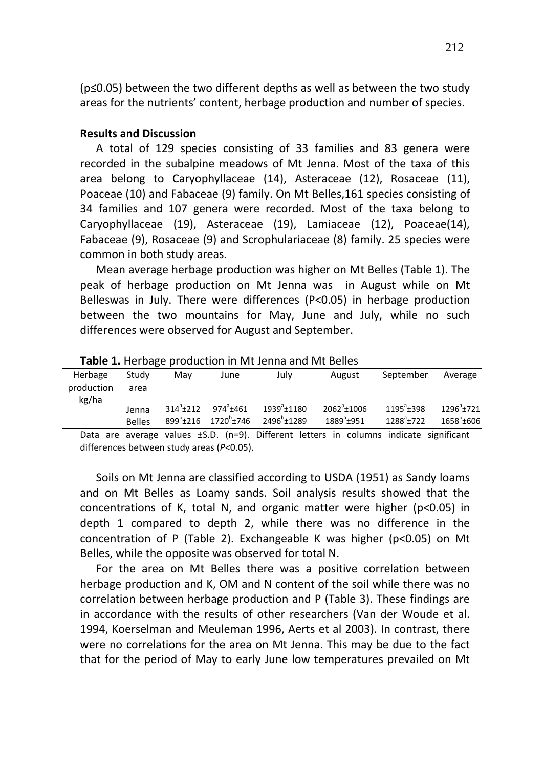(p≤0.05) between the two different depths as well as between the two study areas for the nutrients' content, herbage production and number of species.

#### **Results and Discussion**

A total of 129 species consisting of 33 families and 83 genera were recorded in the subalpine meadows of Mt Jenna. Most of the taxa of this area belong to Caryophyllaceae (14), Asteraceae (12), Rosaceae (11), Poaceae (10) and Fabaceae (9) family. On Mt Belles,161 species consisting of 34 families and 107 genera were recorded. Most of the taxa belong to Caryophyllaceae (19), Asteraceae (19), Lamiaceae (12), Poaceae(14), Fabaceae (9), Rosaceae (9) and Scrophulariaceae (8) family. 25 species were common in both study areas.

Mean average herbage production was higher on Mt Belles (Table 1). The peak of herbage production on Mt Jenna was in August while on Mt Belleswas in July. There were differences (P<0.05) in herbage production between the two mountains for May, June and July, while no such differences were observed for August and September.

| Herbage<br>production | Study<br>area          | Mav                 | June                                                          | July                                               | August                                                                                      | September                                   | Average                            |
|-----------------------|------------------------|---------------------|---------------------------------------------------------------|----------------------------------------------------|---------------------------------------------------------------------------------------------|---------------------------------------------|------------------------------------|
| kg/ha                 | Jenna<br><b>Belles</b> | $314^{\circ}$ + 212 | $974^{\circ}$ ±461<br>$899^{\circ}$ ±216 1720 $^{\circ}$ ±746 | 1939 <sup>a</sup> ±1180<br>2496 <sup>b</sup> ±1289 | $2062^{\circ}$ ± 1006<br>$1889^{a}$ +951                                                    | $1195^{\circ}$ + 398<br>$1288^{\circ}$ ±722 | $1296^a$ + 721<br>$1658^b \pm 606$ |
|                       |                        |                     |                                                               |                                                    | Data are average values $\pm$ S.D. (n=9). Different letters in columns indicate significant |                                             |                                    |

**Table 1.** Herbage production in Mt Jenna and Mt Belles

differences between study areas (*P*<0.05).

Soils on Mt Jenna are classified according to USDA (1951) as Sandy loams and on Mt Belles as Loamy sands. Soil analysis results showed that the concentrations of K, total N, and organic matter were higher (p<0.05) in depth 1 compared to depth 2, while there was no difference in the concentration of P (Table 2). Exchangeable K was higher (p<0.05) on Mt Belles, while the opposite was observed for total N.

For the area on Mt Belles there was a positive correlation between herbage production and K, OM and N content of the soil while there was no correlation between herbage production and P (Table 3). These findings are in accordance with the results of other researchers (Van der Woude et al. 1994, Koerselman and Meuleman 1996, Aerts et al 2003). In contrast, there were no correlations for the area on Mt Jenna. This may be due to the fact that for the period of May to early June low temperatures prevailed on Mt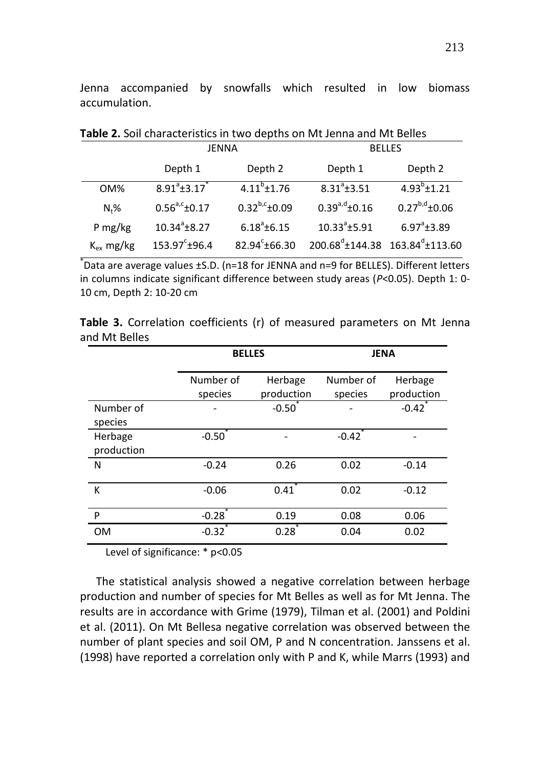Jenna accompanied by snowfalls which resulted in low biomass accumulation.

| <b>Table 2.</b> Juli Characteristics in two depths on introducing and introduce |                        |                           |                       |                                                                  |  |  |  |
|---------------------------------------------------------------------------------|------------------------|---------------------------|-----------------------|------------------------------------------------------------------|--|--|--|
|                                                                                 | <b>JENNA</b>           |                           | <b>BELLES</b>         |                                                                  |  |  |  |
|                                                                                 | Depth 1                | Depth 2                   | Depth 1               | Depth 2                                                          |  |  |  |
| OM%                                                                             | $8.91^{\circ}$ ±3.17   | $4.11^{b}$ ±1.76          | $8.31^{\circ}$ ±3.51  | $4.93^{b}$ ± 1.21                                                |  |  |  |
| $Nt$ %                                                                          | $0.56^{a,c}$ ±0.17     | $0.32^{b,c}$ ±0.09        | $0.39^{a,d}$ ±0.16    | $0.27^{b,d}$ ±0.06                                               |  |  |  |
| P mg/kg                                                                         | $10.34^a \pm 8.27$     | $6.18^{a}$ ±6.15          | $10.33^{\circ}$ ±5.91 | $6.97^{\circ}$ ±3.89                                             |  |  |  |
| $K_{ex}$ mg/kg                                                                  | $153.97^{\circ}$ ±96.4 | 82.94 <sup>c</sup> ±66.30 |                       | $200.68^d \text{±} 144.38$ 163.84 <sup>d</sup> $\text{±} 113.60$ |  |  |  |

**Table 2.** Soil characteristics in two depths on Mt Jenna and Mt Belles

\* Data are average values ±S.D. (n=18 for JENNA and n=9 for BELLES). Different letters in columns indicate significant difference between study areas (*P*<0.05). Depth 1: 0- 10 cm, Depth 2: 10-20 cm

**Table 3.** Correlation coefficients (r) of measured parameters on Mt Jenna and Mt Belles

|                       | <b>BELLES</b> |            | <b>JENA</b> |            |  |
|-----------------------|---------------|------------|-------------|------------|--|
|                       | Number of     | Herbage    | Number of   | Herbage    |  |
|                       | species       | production | species     | production |  |
| Number of<br>species  |               | $-0.50$    |             | $-0.42$    |  |
| Herbage<br>production | $-0.50$       |            | $-0.42$     |            |  |
| N                     | $-0.24$       | 0.26       | 0.02        | $-0.14$    |  |
| K                     | $-0.06$       | 0.41       | 0.02        | $-0.12$    |  |
| P                     | $-0.28$       | 0.19       | 0.08        | 0.06       |  |
| <b>OM</b>             | $-0.32$       | 0.28       | 0.04        | 0.02       |  |

Level of significance: \* p<0.05

The statistical analysis showed a negative correlation between herbage production and number of species for Mt Belles as well as for Mt Jenna. The results are in accordance with Grime (1979), Tilman et al. (2001) and Poldini et al. (2011). On Mt Bellesa negative correlation was observed between the number of plant species and soil ΟΜ, P and Ν concentration. Janssens et al. (1998) have reported a correlation only with P and K, while Marrs (1993) and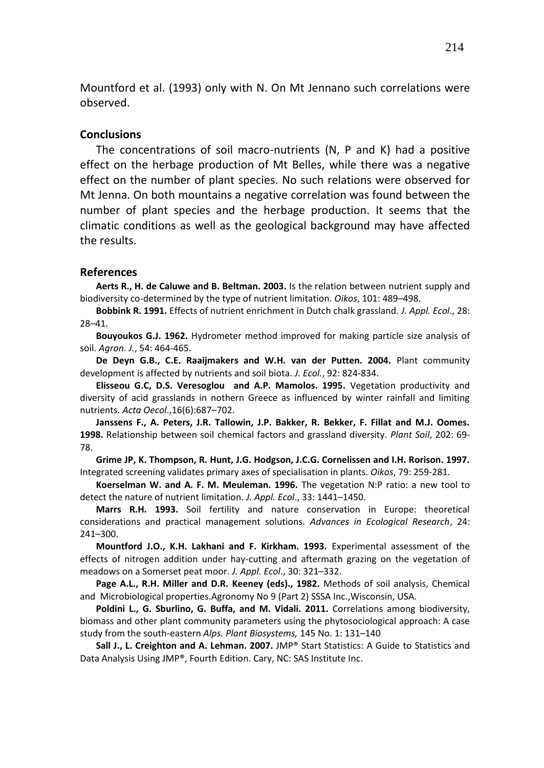Mountford et al. (1993) only with Ν. On Mt Jennano such correlations were observed.

#### **Conclusions**

The concentrations of soil macro-nutrients (N, P and K) had a positive effect on the herbage production of Mt Belles, while there was a negative effect on the number of plant species. No such relations were observed for Mt Jenna. On both mountains a negative correlation was found between the number of plant species and the herbage production. It seems that the climatic conditions as well as the geological background may have affected the results.

## **References**

**Aerts R., H. de Caluwe and B. Beltman. 2003.** Is the relation between nutrient supply and biodiversity co-determined by the type of nutrient limitation. *Oikos*, 101: 489–498.

**Bobbink R. 1991.** Effects of nutrient enrichment in Dutch chalk grassland*. J. Appl. Ecol*., 28: 28–41.

**Bouyoukos G.J. 1962.** Hydrometer method improved for making particle size analysis of soil. *Agron. J.*, 54: 464-465.

**De Deyn G.B., C.E. Raaijmakers and W.H. van der Putten. 2004.** Plant community development is affected by nutrients and soil biota. *J. Ecol.*, 92: 824-834.

**Elisseou G.C, D.S. Veresoglou and A.P. Mamolos. 1995.** Vegetation productivity and diversity of acid grasslands in nothern Greece as influenced by winter rainfall and limiting nutrients. *Acta Oecol*.,16(6):687–702.

**Janssens F., A. Peters, J.R. Tallowin, J.P. Bakker, R. Bekker, F. Fillat and M.J. Oomes. 1998.** Relationship between soil chemical factors and grassland diversity. *Plant Soil*, 202: 69- 78.

**Grime JP, K. Thompson, R. Hunt, J.G. Hodgson, J.C.G. Cornelissen and I.H. Rorison. 1997.** Integrated screening validates primary axes of specialisation in plants. *Oikos*, 79: 259-281.

**Koerselman W. and A. F. M. Meuleman. 1996.** The vegetation N:P ratio: a new tool to detect the nature of nutrient limitation. *J. Appl. Ecol*., 33: 1441–1450.

**Marrs R.H. 1993.** Soil fertility and nature conservation in Europe: theoretical considerations and practical management solutions. *Advances in Ecological Research*, 24: 241–300.

**Mountford J.O., K.H. Lakhani and F. Kirkham. 1993.** Experimental assessment of the effects of nitrogen addition under hay-cutting and aftermath grazing on the vegetation of meadows on a Somerset peat moor. *J. Appl. Ecol*., 30: 321–332.

**Page A.L., R.H. Miller and D.R. Keeney (eds)., 1982.** Methods of soil analysis, Chemical and Microbiological properties.Agronomy No 9 (Part 2) SSSA Inc.,Wisconsin, USA.

**Poldini L., G. Sburlino, G. Buffa, and M. Vidali. 2011.** Correlations among biodiversity, biomass and other plant community parameters using the phytosociological approach: A case study from the south-eastern *Alps. Plant Biosystems,* 145 No. 1: 131–140

**Sall J., L. Creighton and A. Lehman. 2007.** JMP® Start Statistics: A Guide to Statistics and Data Analysis Using JMP®, Fourth Edition. Cary, NC: SAS Institute Inc.